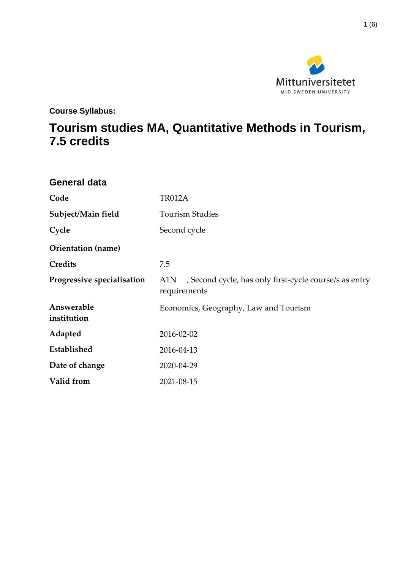

**Course Syllabus:**

# **Tourism studies MA, Quantitative Methods in Tourism, 7.5 credits**

| <b>General data</b>        |                                                                           |
|----------------------------|---------------------------------------------------------------------------|
| Code                       | <b>TR012A</b>                                                             |
| Subject/Main field         | <b>Tourism Studies</b>                                                    |
| Cycle                      | Second cycle                                                              |
| Orientation (name)         |                                                                           |
| Credits                    | 7.5                                                                       |
| Progressive specialisation | A1N, Second cycle, has only first-cycle course/s as entry<br>requirements |
| Answerable<br>institution  | Economics, Geography, Law and Tourism                                     |
| Adapted                    | 2016-02-02                                                                |
| Established                | 2016-04-13                                                                |
| Date of change             | 2020-04-29                                                                |
| Valid from                 | 2021-08-15                                                                |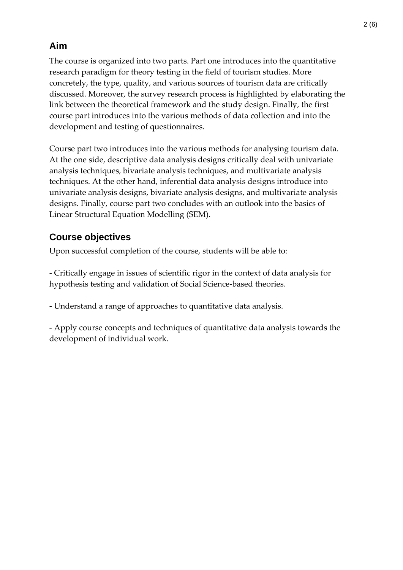# **Aim**

The course is organized into two parts. Part one introduces into the quantitative research paradigm for theory testing in the field of tourism studies. More concretely, the type, quality, and various sources of tourism data are critically discussed. Moreover, the survey research process is highlighted by elaborating the link between the theoretical framework and the study design. Finally, the first course part introduces into the various methods of data collection and into the development and testing of questionnaires.

Course part two introduces into the various methods for analysing tourism data. At the one side, descriptive data analysis designs critically deal with univariate analysis techniques, bivariate analysis techniques, and multivariate analysis techniques. At the other hand, inferential data analysis designs introduce into univariate analysis designs, bivariate analysis designs, and multivariate analysis designs. Finally, course part two concludes with an outlook into the basics of Linear Structural Equation Modelling (SEM).

# **Course objectives**

Upon successful completion of the course, students will be able to:

- Critically engage in issues of scientific rigor in the context of data analysis for hypothesis testing and validation of Social Science-based theories.

- Understand a range of approaches to quantitative data analysis.

- Apply course concepts and techniques of quantitative data analysis towards the development of individual work.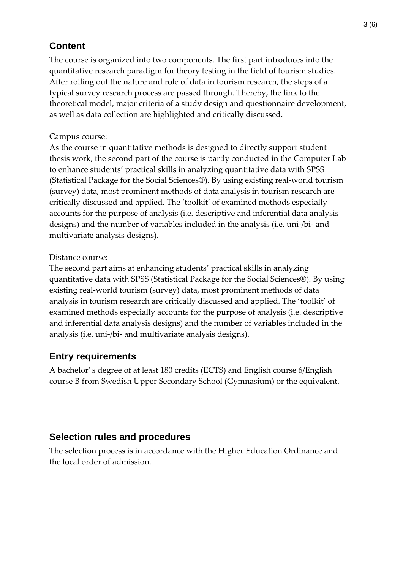### **Content**

The course is organized into two components. The first part introduces into the quantitative research paradigm for theory testing in the field of tourism studies. After rolling out the nature and role of data in tourism research, the steps of a typical survey research process are passed through. Thereby, the link to the theoretical model, major criteria of a study design and questionnaire development, as well as data collection are highlighted and critically discussed.

#### Campus course:

As the course in quantitative methods is designed to directly support student thesis work, the second part of the course is partly conducted in the Computer Lab to enhance students' practical skills in analyzing quantitative data with SPSS (Statistical Package for the Social Sciences®). By using existing real-world tourism (survey) data, most prominent methods of data analysis in tourism research are critically discussed and applied. The 'toolkit' of examined methods especially accounts for the purpose of analysis (i.e. descriptive and inferential data analysis designs) and the number of variables included in the analysis (i.e. uni-/bi- and multivariate analysis designs).

#### Distance course:

The second part aims at enhancing students' practical skills in analyzing quantitative data with SPSS (Statistical Package for the Social Sciences®). By using existing real-world tourism (survey) data, most prominent methods of data analysis in tourism research are critically discussed and applied. The 'toolkit' of examined methods especially accounts for the purpose of analysis (i.e. descriptive and inferential data analysis designs) and the number of variables included in the analysis (i.e. uni-/bi- and multivariate analysis designs).

# **Entry requirements**

A bachelor' s degree of at least 180 credits (ECTS) and English course 6/English course B from Swedish Upper Secondary School (Gymnasium) or the equivalent.

# **Selection rules and procedures**

The selection process is in accordance with the Higher Education Ordinance and the local order of admission.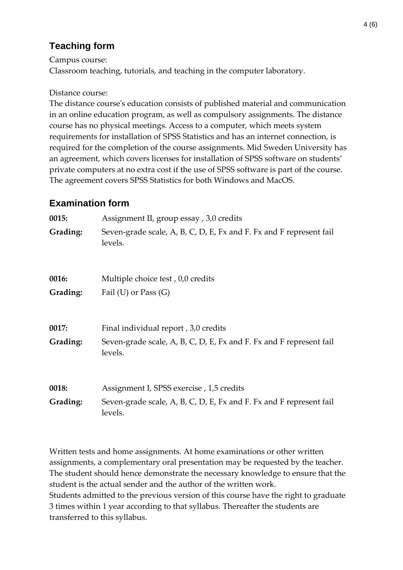# **Teaching form**

Campus course:

Classroom teaching, tutorials, and teaching in the computer laboratory.

#### Distance course:

The distance course's education consists of published material and communication in an online education program, as well as compulsory assignments. The distance course has no physical meetings. Access to a computer, which meets system requirements for installation of SPSS Statistics and has an internet connection, is required for the completion of the course assignments. Mid Sweden University has an agreement, which covers licenses for installation of SPSS software on students' private computers at no extra cost if the use of SPSS software is part of the course. The agreement covers SPSS Statistics for both Windows and MacOS.

### **Examination form**

| 0015:    | Assignment II, group essay, 3,0 credits                                        |
|----------|--------------------------------------------------------------------------------|
| Grading: | Seven-grade scale, A, B, C, D, E, Fx and F. Fx and F represent fail<br>levels. |
| 0016:    | Multiple choice test, 0,0 credits                                              |
| Grading: | Fail (U) or Pass $(G)$                                                         |
| 0017:    | Final individual report, 3,0 credits                                           |
| Grading: | Seven-grade scale, A, B, C, D, E, Fx and F. Fx and F represent fail<br>levels. |
| 0018:    | Assignment I, SPSS exercise, 1,5 credits                                       |
| Grading: | Seven-grade scale, A, B, C, D, E, Fx and F. Fx and F represent fail<br>levels. |

Written tests and home assignments. At home examinations or other written assignments, a complementary oral presentation may be requested by the teacher. The student should hence demonstrate the necessary knowledge to ensure that the student is the actual sender and the author of the written work. Students admitted to the previous version of this course have the right to graduate 3 times within 1 year according to that syllabus. Thereafter the students are transferred to this syllabus.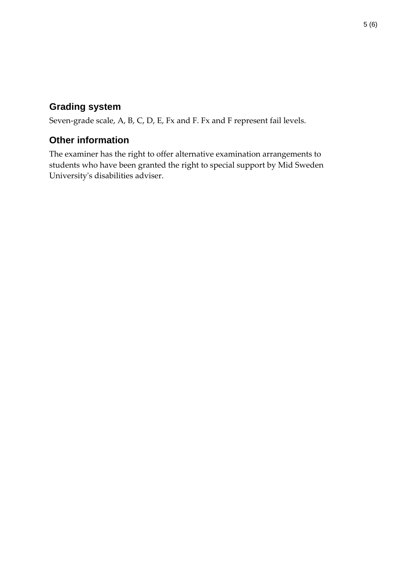### **Grading system**

Seven-grade scale, A, B, C, D, E, Fx and F. Fx and F represent fail levels.

### **Other information**

The examiner has the right to offer alternative examination arrangements to students who have been granted the right to special support by Mid Sweden University's disabilities adviser.